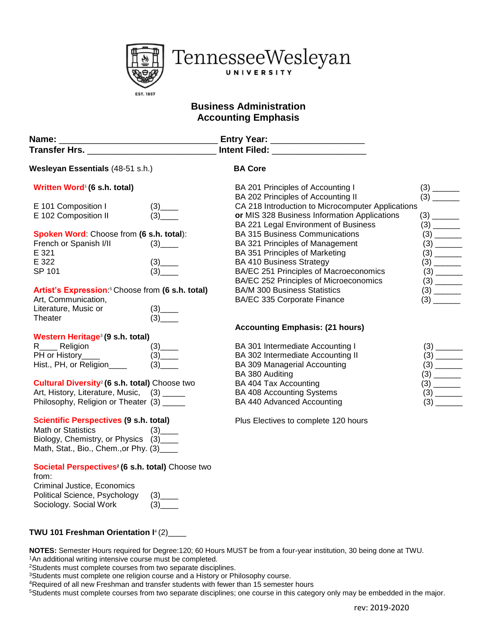

## **Business Administration Accounting Emphasis**

| Name: _                                                                                                                                                |                                                                                                                                                                                                                                                                                                                     | Entry Year: ___________________                                       |                                                                             |
|--------------------------------------------------------------------------------------------------------------------------------------------------------|---------------------------------------------------------------------------------------------------------------------------------------------------------------------------------------------------------------------------------------------------------------------------------------------------------------------|-----------------------------------------------------------------------|-----------------------------------------------------------------------------|
|                                                                                                                                                        |                                                                                                                                                                                                                                                                                                                     |                                                                       |                                                                             |
| Wesleyan Essentials (48-51 s.h.)                                                                                                                       |                                                                                                                                                                                                                                                                                                                     | <b>BA Core</b>                                                        |                                                                             |
| Written Word <sup>®</sup> (6 s.h. total)                                                                                                               |                                                                                                                                                                                                                                                                                                                     | BA 201 Principles of Accounting I                                     |                                                                             |
|                                                                                                                                                        |                                                                                                                                                                                                                                                                                                                     | BA 202 Principles of Accounting II                                    | $(3)$ $\overline{\phantom{1}}$                                              |
| E 101 Composition I                                                                                                                                    | $\frac{(3)_{--}}{(3)_{--}}$                                                                                                                                                                                                                                                                                         | CA 218 Introduction to Microcomputer Applications                     |                                                                             |
| E 102 Composition II                                                                                                                                   |                                                                                                                                                                                                                                                                                                                     | or MIS 328 Business Information Applications                          |                                                                             |
|                                                                                                                                                        |                                                                                                                                                                                                                                                                                                                     | BA 221 Legal Environment of Business                                  |                                                                             |
| Spoken Word: Choose from (6 s.h. total):                                                                                                               |                                                                                                                                                                                                                                                                                                                     | <b>BA 315 Business Communications</b>                                 |                                                                             |
| French or Spanish I/II                                                                                                                                 |                                                                                                                                                                                                                                                                                                                     | BA 321 Principles of Management                                       |                                                                             |
| E 321                                                                                                                                                  |                                                                                                                                                                                                                                                                                                                     | BA 351 Principles of Marketing                                        |                                                                             |
| E 322                                                                                                                                                  | $\frac{(3)_{\dots}}{(3)_{\dots}}$                                                                                                                                                                                                                                                                                   | <b>BA 410 Business Strategy</b>                                       |                                                                             |
| SP 101                                                                                                                                                 |                                                                                                                                                                                                                                                                                                                     | BA/EC 251 Principles of Macroeconomics                                |                                                                             |
|                                                                                                                                                        |                                                                                                                                                                                                                                                                                                                     | BA/EC 252 Principles of Microeconomics                                |                                                                             |
| Artist's Expression: <sup>5</sup> Choose from (6 s.h. total)                                                                                           |                                                                                                                                                                                                                                                                                                                     | <b>BA/M 300 Business Statistics</b>                                   | $\begin{array}{c} (3) \quad \text{---} \\ (3) \quad \text{---} \end{array}$ |
| Art, Communication,                                                                                                                                    |                                                                                                                                                                                                                                                                                                                     | BA/EC 335 Corporate Finance                                           |                                                                             |
| Literature, Music or                                                                                                                                   | $\frac{(3)_{\dots}}{(3)_{\dots}}$                                                                                                                                                                                                                                                                                   |                                                                       |                                                                             |
| Theater                                                                                                                                                |                                                                                                                                                                                                                                                                                                                     |                                                                       |                                                                             |
|                                                                                                                                                        |                                                                                                                                                                                                                                                                                                                     | <b>Accounting Emphasis: (21 hours)</b>                                |                                                                             |
| Western Heritage <sup>3</sup> (9 s.h. total)<br>R_____ Religion                                                                                        |                                                                                                                                                                                                                                                                                                                     |                                                                       |                                                                             |
| PH or History____                                                                                                                                      | $\frac{(3)_{\_\_} (3)_{\_\_} (3)_{\_\_} (3)_{\_\_} (3)_{\_\_} (3)_{\_\_} (3)_{\_\_} (3)_{\_\_} (3)_{\_\_} (3)_{\_\_} (3)_{\_\_} (3)_{\_\_} (3)_{\_\_} (3)_{\_\_} (3)_{\_\_} (3)_{\_\_} (3)_{\_\_} (3)_{\_\_} (3)_{\_\_} (3)_{\_\_} (3)_{\_\_} (3)_{\_\_} (3)_{\_\_} (3)_{\_\_} (3)_{\_\_} (3)_{\_\_} (3)_{\_\_} (3$ | BA 301 Intermediate Accounting I<br>BA 302 Intermediate Accounting II |                                                                             |
| Hist., PH, or Religion____                                                                                                                             | (3)                                                                                                                                                                                                                                                                                                                 | <b>BA 309 Managerial Accounting</b>                                   |                                                                             |
|                                                                                                                                                        |                                                                                                                                                                                                                                                                                                                     | BA 380 Auditing                                                       | $(3) \qquad \qquad \boxed{2}$                                               |
| Cultural Diversity <sup>2</sup> (6 s.h. total) Choose two                                                                                              |                                                                                                                                                                                                                                                                                                                     | BA 404 Tax Accounting                                                 | $\begin{array}{c} (3) \quad \text{---} \\ (3) \quad \text{---} \end{array}$ |
| Art, History, Literature, Music, (3) _____                                                                                                             |                                                                                                                                                                                                                                                                                                                     | BA 408 Accounting Systems                                             |                                                                             |
| Philosophy, Religion or Theater (3) _____                                                                                                              |                                                                                                                                                                                                                                                                                                                     | BA 440 Advanced Accounting                                            |                                                                             |
|                                                                                                                                                        |                                                                                                                                                                                                                                                                                                                     |                                                                       |                                                                             |
| <b>Scientific Perspectives (9 s.h. total)</b><br>Math or Statistics<br>Biology, Chemistry, or Physics (3)____<br>Math, Stat., Bio., Chem., or Phy. (3) | (3)                                                                                                                                                                                                                                                                                                                 | Plus Electives to complete 120 hours                                  |                                                                             |
| Societal Perspectives <sup>2</sup> (6 s.h. total) Choose two<br>from:<br>Criminal Justice, Economics                                                   |                                                                                                                                                                                                                                                                                                                     |                                                                       |                                                                             |
| Political Science, Psychology<br>Sociology. Social Work                                                                                                | (3)<br>(3)                                                                                                                                                                                                                                                                                                          |                                                                       |                                                                             |

## **TWU 101 Freshman Orientation I**<sup>4</sup> (2)\_\_\_\_

**NOTES:** Semester Hours required for Degree:120; 60 Hours MUST be from a four-year institution, 30 being done at TWU. <sup>1</sup>An additional writing intensive course must be completed.

<sup>2</sup>Students must complete courses from two separate disciplines.

<sup>3</sup>Students must complete one religion course and a History or Philosophy course.

<sup>4</sup>Required of all new Freshman and transfer students with fewer than 15 semester hours

<sup>5</sup>Students must complete courses from two separate disciplines; one course in this category only may be embedded in the major.